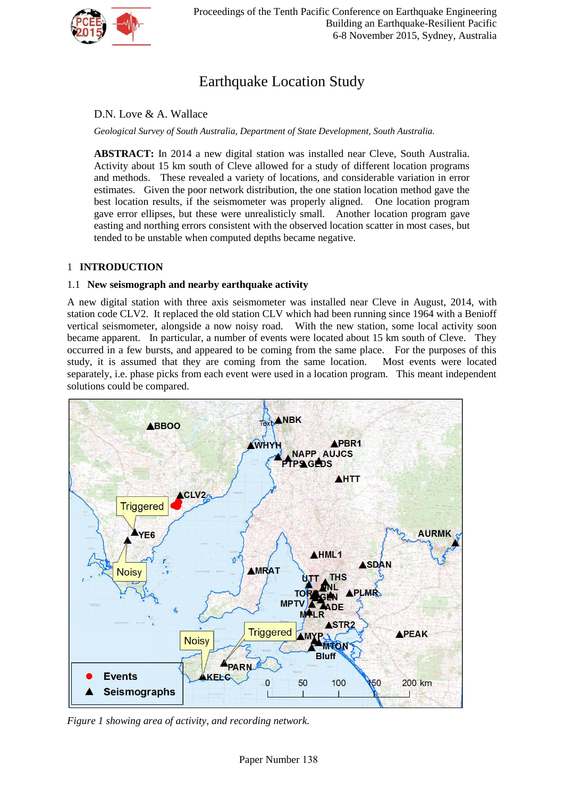

# Earthquake Location Study

D.N. Love & A. Wallace

*Geological Survey of South Australia, Department of State Development, South Australia.*

**ABSTRACT:** In 2014 a new digital station was installed near Cleve, South Australia. Activity about 15 km south of Cleve allowed for a study of different location programs and methods. These revealed a variety of locations, and considerable variation in error estimates. Given the poor network distribution, the one station location method gave the best location results, if the seismometer was properly aligned. One location program gave error ellipses, but these were unrealisticly small. Another location program gave easting and northing errors consistent with the observed location scatter in most cases, but tended to be unstable when computed depths became negative.

# 1 **INTRODUCTION**

# 1.1 **New seismograph and nearby earthquake activity**

A new digital station with three axis seismometer was installed near Cleve in August, 2014, with station code CLV2. It replaced the old station CLV which had been running since 1964 with a Benioff vertical seismometer, alongside a now noisy road. With the new station, some local activity soon became apparent. In particular, a number of events were located about 15 km south of Cleve. They occurred in a few bursts, and appeared to be coming from the same place. For the purposes of this study, it is assumed that they are coming from the same location. Most events were located separately, i.e. phase picks from each event were used in a location program. This meant independent solutions could be compared.



*Figure 1 showing area of activity, and recording network.*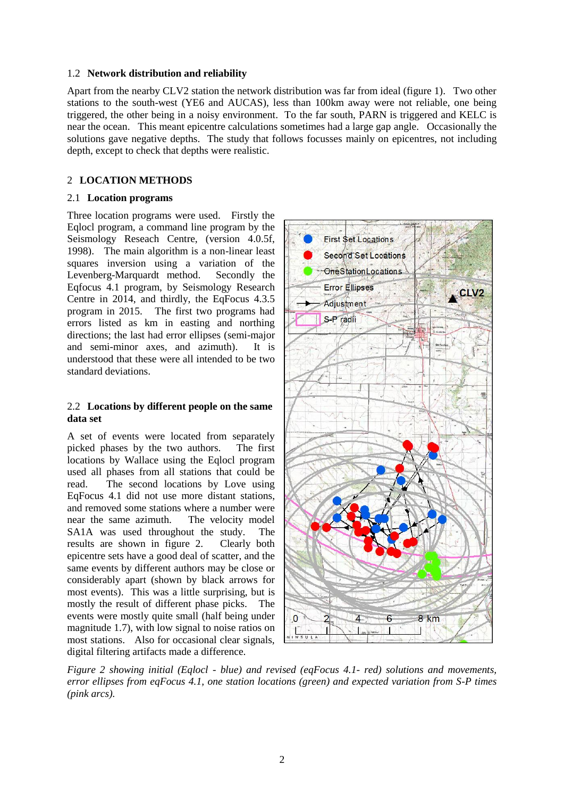## 1.2 **Network distribution and reliability**

Apart from the nearby CLV2 station the network distribution was far from ideal (figure 1). Two other stations to the south-west (YE6 and AUCAS), less than 100km away were not reliable, one being triggered, the other being in a noisy environment. To the far south, PARN is triggered and KELC is near the ocean. This meant epicentre calculations sometimes had a large gap angle. Occasionally the solutions gave negative depths. The study that follows focusses mainly on epicentres, not including depth, except to check that depths were realistic.

## 2 **LOCATION METHODS**

## 2.1 **Location programs**

Three location programs were used. Firstly the Eqlocl program, a command line program by the Seismology Reseach Centre, (version 4.0.5f, 1998). The main algorithm is a non-linear least squares inversion using a variation of the Levenberg-Marquardt method. Secondly the Eqfocus 4.1 program, by Seismology Research Centre in 2014, and thirdly, the EqFocus 4.3.5 program in 2015. The first two programs had errors listed as km in easting and northing directions; the last had error ellipses (semi-major and semi-minor axes, and azimuth). It is understood that these were all intended to be two standard deviations.

#### 2.2 **Locations by different people on the same data set**

A set of events were located from separately picked phases by the two authors. The first locations by Wallace using the Eqlocl program used all phases from all stations that could be read. The second locations by Love using EqFocus 4.1 did not use more distant stations, and removed some stations where a number were near the same azimuth. The velocity model SA1A was used throughout the study. The results are shown in figure 2. Clearly both epicentre sets have a good deal of scatter, and the same events by different authors may be close or considerably apart (shown by black arrows for most events). This was a little surprising, but is mostly the result of different phase picks. The events were mostly quite small (half being under magnitude 1.7), with low signal to noise ratios on most stations. Also for occasional clear signals, digital filtering artifacts made a difference.



*Figure 2 showing initial (Eqlocl - blue) and revised (eqFocus 4.1- red) solutions and movements, error ellipses from eqFocus 4.1, one station locations (green) and expected variation from S-P times (pink arcs).*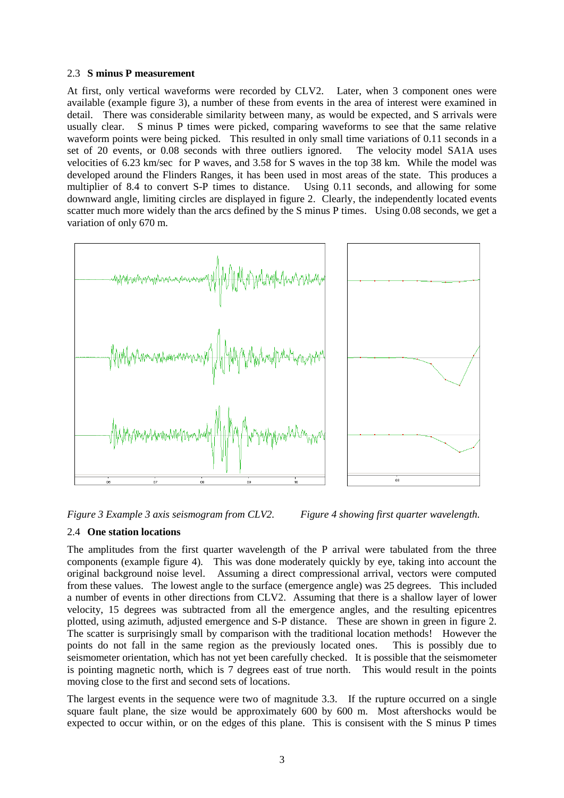#### 2.3 **S minus P measurement**

At first, only vertical waveforms were recorded by CLV2. Later, when 3 component ones were available (example figure 3), a number of these from events in the area of interest were examined in detail. There was considerable similarity between many, as would be expected, and S arrivals were usually clear. S minus P times were picked, comparing waveforms to see that the same relative waveform points were being picked. This resulted in only small time variations of 0.11 seconds in a set of 20 events, or 0.08 seconds with three outliers ignored. The velocity model SA1A uses velocities of 6.23 km/sec for P waves, and 3.58 for S waves in the top 38 km. While the model was developed around the Flinders Ranges, it has been used in most areas of the state. This produces a multiplier of 8.4 to convert S-P times to distance. Using 0.11 seconds, and allowing for some downward angle, limiting circles are displayed in figure 2. Clearly, the independently located events scatter much more widely than the arcs defined by the S minus P times. Using 0.08 seconds, we get a variation of only 670 m.



*Figure 3 Example 3 axis seismogram from CLV2. Figure 4 showing first quarter wavelength.*

## 2.4 **One station locations**

The amplitudes from the first quarter wavelength of the P arrival were tabulated from the three components (example figure 4). This was done moderately quickly by eye, taking into account the original background noise level. Assuming a direct compressional arrival, vectors were computed from these values. The lowest angle to the surface (emergence angle) was 25 degrees. This included a number of events in other directions from CLV2. Assuming that there is a shallow layer of lower velocity, 15 degrees was subtracted from all the emergence angles, and the resulting epicentres plotted, using azimuth, adjusted emergence and S-P distance. These are shown in green in figure 2. The scatter is surprisingly small by comparison with the traditional location methods! However the points do not fall in the same region as the previously located ones. This is possibly due to seismometer orientation, which has not yet been carefully checked. It is possible that the seismometer is pointing magnetic north, which is 7 degrees east of true north. This would result in the points moving close to the first and second sets of locations.

The largest events in the sequence were two of magnitude 3.3. If the rupture occurred on a single square fault plane, the size would be approximately 600 by 600 m. Most aftershocks would be expected to occur within, or on the edges of this plane. This is consisent with the S minus P times